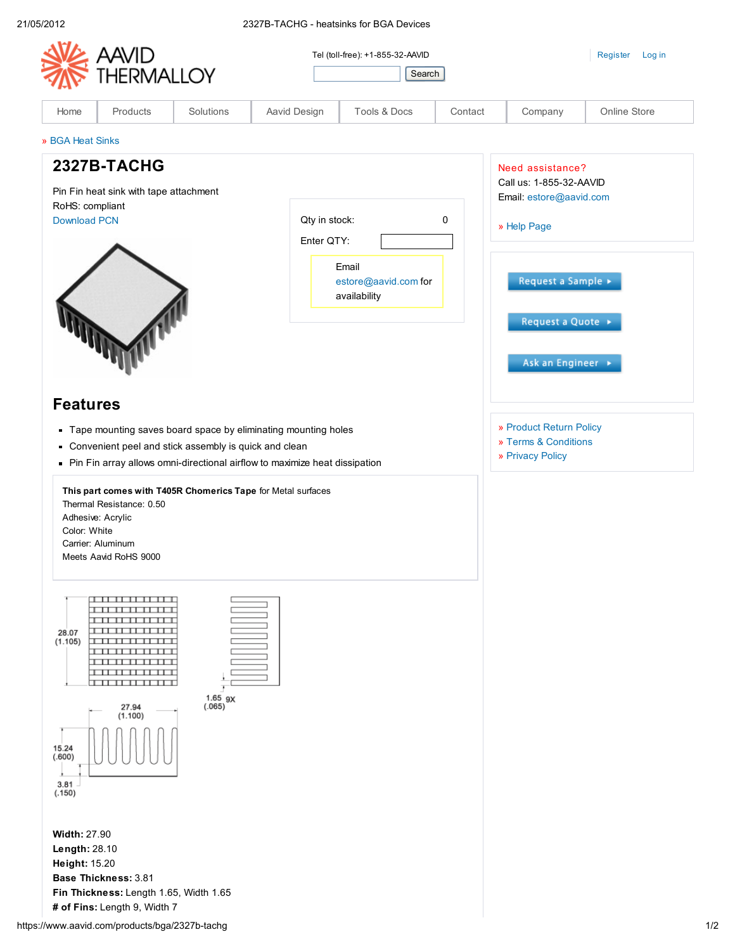|                                                                                                                                     | <b>HERMALLOY</b>                                                                                               |                                                       |                                                                                                                                                                                                               | Tel (toll-free): +1-855-32-AAVID<br>Search    |         |                                                                                       | Register<br>Log in |
|-------------------------------------------------------------------------------------------------------------------------------------|----------------------------------------------------------------------------------------------------------------|-------------------------------------------------------|---------------------------------------------------------------------------------------------------------------------------------------------------------------------------------------------------------------|-----------------------------------------------|---------|---------------------------------------------------------------------------------------|--------------------|
| Home                                                                                                                                | Products                                                                                                       | Solutions                                             | Aavid Design                                                                                                                                                                                                  | Tools & Docs                                  | Contact | Company                                                                               | Online Store       |
| » BGA Heat Sinks                                                                                                                    |                                                                                                                |                                                       |                                                                                                                                                                                                               |                                               |         |                                                                                       |                    |
| 2327B-TACHG<br>Pin Fin heat sink with tape attachment<br>RoHS: compliant<br><b>Download PCN</b><br>Qty in stock:<br>0<br>Enter QTY: |                                                                                                                |                                                       |                                                                                                                                                                                                               |                                               |         | Need assistance?<br>Call us: 1-855-32-AAVID<br>Email: estore@aavid.com<br>» Help Page |                    |
| <b>Features</b>                                                                                                                     |                                                                                                                |                                                       |                                                                                                                                                                                                               | Email<br>estore@aavid.com for<br>availability |         | Request a Sample ><br>Request a Quote →<br>Ask an Engineer →                          |                    |
| Color: White                                                                                                                        | Thermal Resistance: 0.50<br>Adhesive: Acrylic<br>Carrier: Aluminum<br>Meets Aavid RoHS 9000                    | Convenient peel and stick assembly is quick and clean | Tape mounting saves board space by eliminating mounting holes<br>• Pin Fin array allows omni-directional airflow to maximize heat dissipation<br>This part comes with T405R Chomerics Tape for Metal surfaces |                                               |         | » Product Return Policy<br>» Terms & Conditions<br>» Privacy Policy                   |                    |
| 28.07<br>(1.105)<br>15.24<br>(.600)<br>3.81<br>(.150)                                                                               | ,,,,,,,,,,,,,,,<br>ण<br>11 11 11 11<br><del>.</del><br>╥┬╥<br><del>.</del><br><del>.</del><br>27.94<br>(1.100) | $1.65$ gx<br>(.065)                                   |                                                                                                                                                                                                               |                                               |         |                                                                                       |                    |
| <b>Width: 27.90</b><br>Length: 28.10<br>Height: 15.20                                                                               | Base Thickness: 3.81                                                                                           |                                                       |                                                                                                                                                                                                               |                                               |         |                                                                                       |                    |

Fin Thickness: Length 1.65, Width 1.65